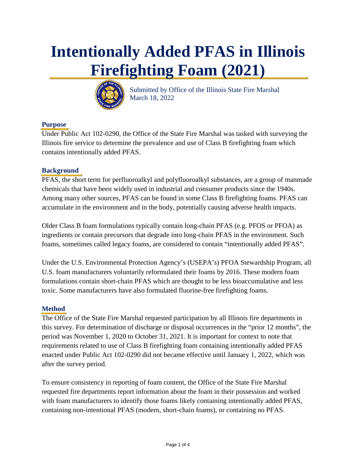# **Intentionally Added PFAS in Illinois Firefighting Foam (2021)**



 Submitted by Office of the Illinois State Fire Marshal March 18, 2022

# **Purpose**

Under Public Act 102-0290, the Office of the State Fire Marshal was tasked with surveying the Illinois fire service to determine the prevalence and use of Class B firefighting foam which contains intentionally added PFAS.

## **Background**

PFAS, the short term for perfluoroalkyl and polyfluoroalkyl substances, are a group of manmade chemicals that have been widely used in industrial and consumer products since the 1940s. Among many other sources, PFAS can be found in some Class B firefighting foams. PFAS can accumulate in the environment and in the body, potentially causing adverse health impacts.

Older Class B foam formulations typically contain long-chain PFAS (e.g. PFOS or PFOA) as ingredients or contain precursors that degrade into long-chain PFAS in the environment. Such foams, sometimes called legacy foams, are considered to contain "intentionally added PFAS".

Under the U.S. Environmental Protection Agency's (USEPA's) PFOA Stewardship Program, all U.S. foam manufacturers voluntarily reformulated their foams by 2016. These modern foam formulations contain short-chain PFAS which are thought to be less bioaccumulative and less toxic. Some manufacturers have also formulated fluorine-free firefighting foams.

# **Method**

The Office of the State Fire Marshal requested participation by all Illinois fire departments in this survey. For determination of discharge or disposal occurrences in the "prior 12 months", the period was November 1, 2020 to October 31, 2021. It is important for context to note that requirements related to use of Class B firefighting foam containing intentionally added PFAS enacted under Public Act 102-0290 did not became effective until January 1, 2022, which was after the survey period.

To ensure consistency in reporting of foam content, the Office of the State Fire Marshal requested fire departments report information about the foam in their possession and worked with foam manufacturers to identify those foams likely containing intentionally added PFAS, containing non-intentional PFAS (modern, short-chain foams), or containing no PFAS.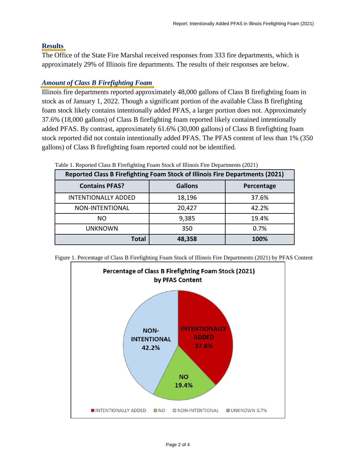#### **Results**

The Office of the State Fire Marshal received responses from 333 fire departments, which is approximately 29% of Illinois fire departments. The results of their responses are below.

# *Amount of Class B Firefighting Foam*

Illinois fire departments reported approximately 48,000 gallons of Class B firefighting foam in stock as of January 1, 2022. Though a significant portion of the available Class B firefighting foam stock likely contains intentionally added PFAS, a larger portion does not. Approximately 37.6% (18,000 gallons) of Class B firefighting foam reported likely contained intentionally added PFAS. By contrast, approximately 61.6% (30,000 gallons) of Class B firefighting foam stock reported did not contain intentionally added PFAS. The PFAS content of less than 1% (350 gallons) of Class B firefighting foam reported could not be identified.

| Table 1. Reported Class D I field gluing I baill Stock of Himols I ne Departments (2021) |                |            |  |  |  |
|------------------------------------------------------------------------------------------|----------------|------------|--|--|--|
| <b>Reported Class B Firefighting Foam Stock of Illinois Fire Departments (2021)</b>      |                |            |  |  |  |
| <b>Contains PFAS?</b>                                                                    | <b>Gallons</b> | Percentage |  |  |  |
| <b>INTENTIONALLY ADDED</b>                                                               | 18,196         | 37.6%      |  |  |  |
| NON-INTENTIONAL                                                                          | 20,427         | 42.2%      |  |  |  |
| NO.                                                                                      | 9,385          | 19.4%      |  |  |  |
| <b>UNKNOWN</b>                                                                           | 350            | 0.7%       |  |  |  |
| <b>Total</b>                                                                             | 48,358         | 100%       |  |  |  |

Table 1. Reported Class B Firefighting Foam Stock of Illinois Fire Departments (2021)



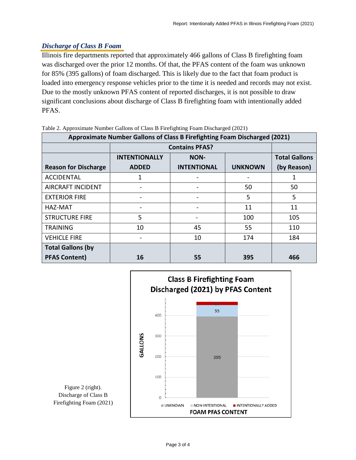## *Discharge of Class B Foam*

Illinois fire departments reported that approximately 466 gallons of Class B firefighting foam was discharged over the prior 12 months. Of that, the PFAS content of the foam was unknown for 85% (395 gallons) of foam discharged. This is likely due to the fact that foam product is loaded into emergency response vehicles prior to the time it is needed and records may not exist. Due to the mostly unknown PFAS content of reported discharges, it is not possible to draw significant conclusions about discharge of Class B firefighting foam with intentionally added PFAS.

| x x<br>Approximate Number Gallons of Class B Firefighting Foam Discharged (2021) |                       |                    |                |                      |  |
|----------------------------------------------------------------------------------|-----------------------|--------------------|----------------|----------------------|--|
|                                                                                  | <b>Contains PFAS?</b> |                    |                |                      |  |
|                                                                                  | <b>INTENTIONALLY</b>  | <b>NON-</b>        |                | <b>Total Gallons</b> |  |
| <b>Reason for Discharge</b>                                                      | <b>ADDED</b>          | <b>INTENTIONAL</b> | <b>UNKNOWN</b> | (by Reason)          |  |
| <b>ACCIDENTAL</b>                                                                | 1                     |                    |                | 1                    |  |
| <b>AIRCRAFT INCIDENT</b>                                                         |                       |                    | 50             | 50                   |  |
| <b>EXTERIOR FIRE</b>                                                             |                       |                    | 5              | 5                    |  |
| HAZ-MAT                                                                          |                       |                    | 11             | 11                   |  |
| <b>STRUCTURE FIRE</b>                                                            | 5                     |                    | 100            | 105                  |  |
| <b>TRAINING</b>                                                                  | 10                    | 45                 | 55             | 110                  |  |
| <b>VEHICLE FIRE</b>                                                              |                       | 10                 | 174            | 184                  |  |
| <b>Total Gallons (by</b>                                                         |                       |                    |                |                      |  |
| <b>PFAS Content)</b>                                                             | 16                    | 55                 | 395            | 466                  |  |

Table 2. Approximate Number Gallons of Class B Firefighting Foam Discharged (2021)



Figure 2 (right). Discharge of Class B Firefighting Foam (2021)